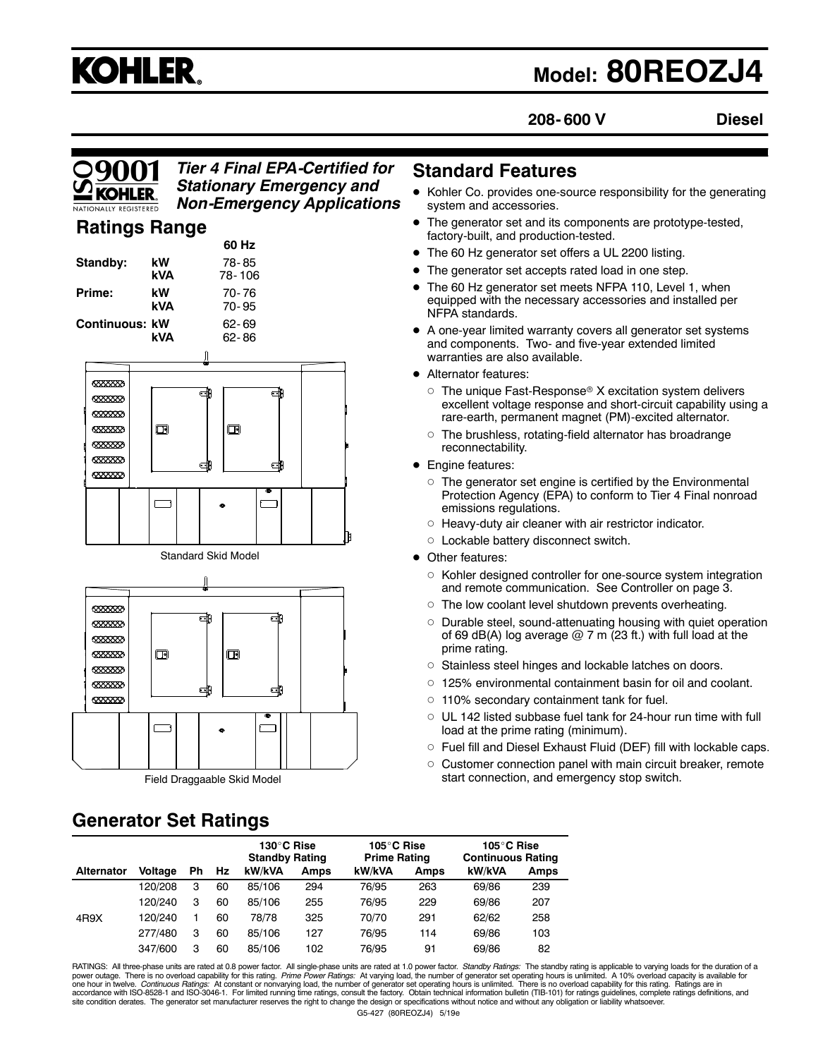# **KOHLER.**

## **Model: 80REOZJ4**

**208- 600 V Diesel**

#### *Tier 4 Final EPA-Certified for Stationary Emergency and Non-Emergency Applications*

**60 Hz**

#### **Ratings Range**

|                                             |                                  |                                     | אח טט                      |   |
|---------------------------------------------|----------------------------------|-------------------------------------|----------------------------|---|
| Standby:<br>Prime:<br><b>Continuous: kW</b> |                                  | kW<br>78-85<br><b>kVA</b><br>78-106 |                            |   |
|                                             |                                  | kW.<br>kVA                          | $70 - 76$<br>$70 - 95$     |   |
|                                             |                                  | kVA                                 | 62-69<br>$62 - 86$         |   |
|                                             |                                  |                                     |                            |   |
|                                             | 6888888                          |                                     |                            |   |
|                                             | <b>8888889</b>                   |                                     | di<br>di                   |   |
|                                             | 6333333                          | 回                                   | 回                          |   |
|                                             | 6333333                          |                                     |                            |   |
|                                             | 888888                           |                                     | ą<br>di                    |   |
|                                             | 6333333                          |                                     |                            |   |
|                                             |                                  |                                     | ۰                          |   |
|                                             |                                  |                                     |                            |   |
|                                             |                                  |                                     |                            | 頂 |
|                                             |                                  |                                     | <b>Standard Skid Model</b> |   |
|                                             |                                  |                                     |                            |   |
|                                             |                                  |                                     |                            |   |
|                                             | 6333333                          |                                     | di<br>di                   |   |
|                                             |                                  |                                     |                            |   |
|                                             | <b>8888888</b><br><b>SEXEXED</b> | ⊡                                   | $\hbox{ \Box}$             |   |
|                                             | 6888888                          |                                     |                            |   |
|                                             | <b>KXXXXXX</b>                   |                                     |                            |   |

#### **Standard Features**

- Kohler Co. provides one-source responsibility for the generating system and accessories.
- The generator set and its components are prototype-tested, factory-built, and production-tested.
- The 60 Hz generator set offers a UL 2200 listing.
- The generator set accepts rated load in one step.
- The 60 Hz generator set meets NFPA 110, Level 1, when equipped with the necessary accessories and installed per NFPA standards.
- A one-year limited warranty covers all generator set systems and components. Two- and five-year extended limited warranties are also available.
- Alternator features:
	- $\circ$  The unique Fast-Response® X excitation system delivers excellent voltage response and short-circuit capability using a rare-earth, permanent magnet (PM)-excited alternator.
	- $\circ$  The brushless, rotating-field alternator has broadrange reconnectability.
- Engine features:
	- $\circ$  The generator set engine is certified by the Environmental Protection Agency (EPA) to conform to Tier 4 Final nonroad emissions regulations.
	- $\circ$  Heavy-duty air cleaner with air restrictor indicator.
	- $\circ$  Lockable battery disconnect switch.
- Other features:
	- $\circ$  Kohler designed controller for one-source system integration and remote communication. See Controller on page 3.
	- $\circ$  The low coolant level shutdown prevents overheating.
	- o Durable steel, sound-attenuating housing with quiet operation of 69 dB(A) log average  $@$  7 m (23 ft.) with full load at the prime rating.
	- $\circ$  Stainless steel hinges and lockable latches on doors.
	- $\circ$  125% environmental containment basin for oil and coolant.
	- $\circ$  110% secondary containment tank for fuel.
	- $\circ$  UL 142 listed subbase fuel tank for 24-hour run time with full load at the prime rating (minimum).
	- $\circ$  Fuel fill and Diesel Exhaust Fluid (DEF) fill with lockable caps.
	- $\circ$  Customer connection panel with main circuit breaker, remote start connection, and emergency stop switch.

### **Generator Set Ratings**

6333333

Field Draggaable Skid Model

dD

中

|                   |         |    |    | 130°C Rise<br><b>Standby Rating</b> |      | 105°C Rise<br><b>Prime Rating</b> |      | 105°C Rise<br><b>Continuous Rating</b> |             |
|-------------------|---------|----|----|-------------------------------------|------|-----------------------------------|------|----------------------------------------|-------------|
| <b>Alternator</b> | Voltage | Ph | Hz | kW/kVA                              | Amps | kW/kVA                            | Amps | kW/kVA                                 | <b>Amps</b> |
|                   | 120/208 | з  | 60 | 85/106                              | 294  | 76/95                             | 263  | 69/86                                  | 239         |
|                   | 120/240 | 3  | 60 | 85/106                              | 255  | 76/95                             | 229  | 69/86                                  | 207         |
| 4R9X              | 120/240 |    | 60 | 78/78                               | 325  | 70/70                             | 291  | 62/62                                  | 258         |
|                   | 277/480 | 3  | 60 | 85/106                              | 127  | 76/95                             | 114  | 69/86                                  | 103         |
|                   | 347/600 | 3  | 60 | 85/106                              | 102  | 76/95                             | 91   | 69/86                                  | 82          |

G5-427 (80REOZJ4) 5/19e RATINGS: All three-phase units are rated at 0.8 power factor. All single-phase units are rated at 1.0 power factor. *Standby Ratings:* The standby rating is applicable to varying loads for the duration of a<br>power outage. T accordance with ISO-8528-1 and ISO-3046-1. For limited running time ratings, consult the factory. Obtain technical information bulletin (TIB-101) for ratings guidelines, complete ratings definitions, and<br>site condition der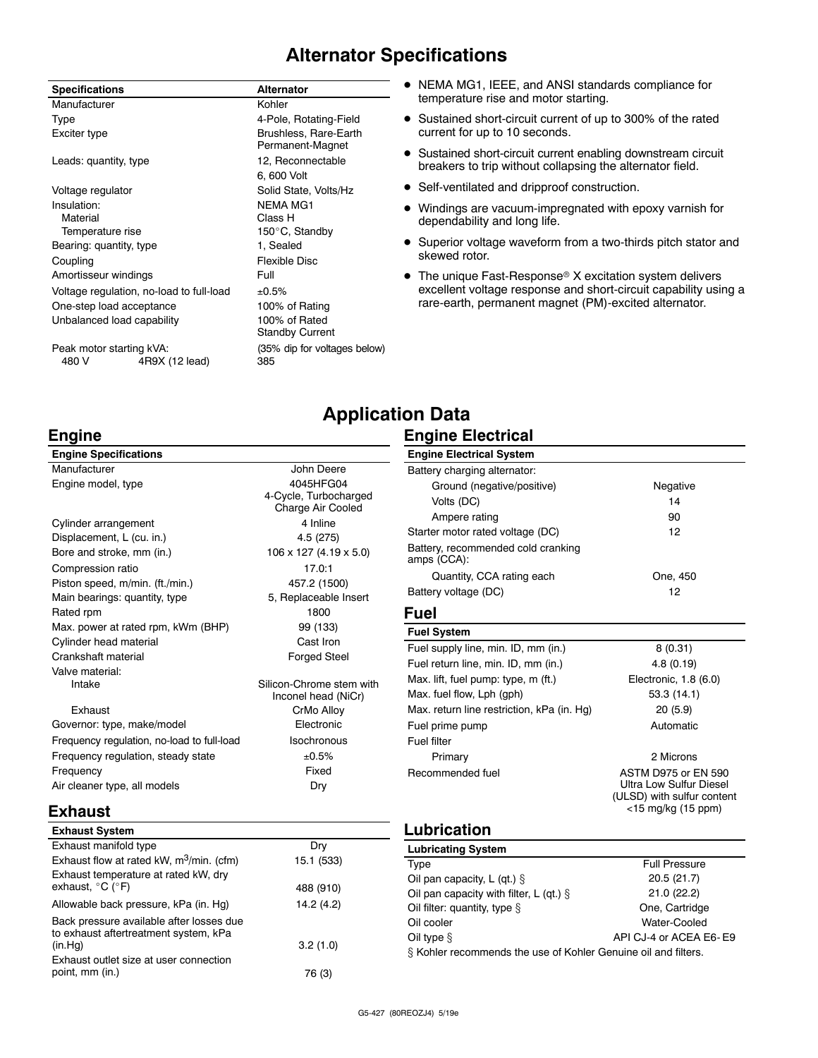#### **Alternator Specifications**

| <b>Specifications</b>             |                                          | <b>Alternator</b>                         |
|-----------------------------------|------------------------------------------|-------------------------------------------|
| Manufacturer                      |                                          | Kohler                                    |
| Type                              |                                          | 4-Pole, Rotating-Field                    |
| Exciter type                      |                                          | Brushless, Rare-Earth<br>Permanent-Magnet |
| Leads: quantity, type             |                                          | 12, Reconnectable                         |
|                                   |                                          | 6, 600 Volt                               |
| Voltage regulator                 |                                          | Solid State, Volts/Hz                     |
| Insulation:                       |                                          | NFMA MG1                                  |
| Material                          |                                          | Class H                                   |
| Temperature rise                  |                                          | 150°C, Standby                            |
| Bearing: quantity, type           |                                          | 1, Sealed                                 |
| Coupling                          |                                          | Flexible Disc                             |
| Amortisseur windings              |                                          | Full                                      |
|                                   | Voltage regulation, no-load to full-load | ±0.5%                                     |
|                                   | One-step load acceptance                 | 100% of Rating                            |
|                                   | Unbalanced load capability               | 100% of Rated<br><b>Standby Current</b>   |
| Peak motor starting kVA:<br>480 V | 4R9X (12 lead)                           | (35% dip for voltages below)<br>385       |

- $\bullet$  NEMA MG1, IEEE, and ANSI standards compliance for temperature rise and motor starting.
- Sustained short-circuit current of up to 300% of the rated current for up to 10 seconds.
- Sustained short-circuit current enabling downstream circuit breakers to trip without collapsing the alternator field.
- Self-ventilated and dripproof construction.
- $\bullet$  Windings are vacuum-impregnated with epoxy varnish for dependability and long life.
- Superior voltage waveform from a two-thirds pitch stator and skewed rotor.
- $\bullet$  The unique Fast-Response® X excitation system delivers excellent voltage response and short-circuit capability using a rare-earth, permanent magnet (PM)-excited alternator.

#### **Engine**

| John Deere                                      |
|-------------------------------------------------|
| 4045HFG04                                       |
| 4-Cycle, Turbocharged                           |
| Charge Air Cooled                               |
| 4 Inline                                        |
| 4.5 (275)                                       |
| 106 x 127 (4.19 x 5.0)                          |
| 17.0:1                                          |
| 457.2 (1500)                                    |
| 5, Replaceable Insert                           |
| 1800                                            |
| 99 (133)                                        |
| Cast Iron                                       |
| Forged Steel                                    |
|                                                 |
| Silicon-Chrome stem with<br>Inconel head (NiCr) |
| CrMo Alloy                                      |
| Flectronic                                      |
| Isochronous                                     |
| ±0.5%                                           |
| Fixed                                           |
| Dry                                             |
|                                                 |

#### **Application Data Engine Electrical**

| <b>Engine Electrical System</b>                   |                                                                                                           |
|---------------------------------------------------|-----------------------------------------------------------------------------------------------------------|
| Battery charging alternator:                      |                                                                                                           |
| Ground (negative/positive)                        | Negative                                                                                                  |
| Volts (DC)                                        | 14                                                                                                        |
| Ampere rating                                     | 90                                                                                                        |
| Starter motor rated voltage (DC)                  | 12                                                                                                        |
| Battery, recommended cold cranking<br>amps (CCA): |                                                                                                           |
| Quantity, CCA rating each                         | One, 450                                                                                                  |
| Battery voltage (DC)                              | 12                                                                                                        |
| <b>Fuel</b>                                       |                                                                                                           |
| <b>Fuel System</b>                                |                                                                                                           |
| Fuel supply line, min. ID, mm (in.)               | 8(0.31)                                                                                                   |
| Fuel return line, min. ID, mm (in.)               | 4.8(0.19)                                                                                                 |
| Max. lift, fuel pump: type, m (ft.)               | Electronic, 1.8 (6.0)                                                                                     |
| Max. fuel flow, Lph (gph)                         | 53.3 (14.1)                                                                                               |
| Max. return line restriction, kPa (in. Hq)        | 20(5.9)                                                                                                   |
| Fuel prime pump                                   | Automatic                                                                                                 |
| Fuel filter                                       |                                                                                                           |
| Primary                                           | 2 Microns                                                                                                 |
| Recommended fuel                                  | ASTM D975 or FN 590<br><b>Ultra Low Sulfur Diesel</b><br>(ULSD) with sulfur content<br><15 mg/kg (15 ppm) |
| Lubrication                                       |                                                                                                           |

#### **Exhaust**

| <b>Exhaust System</b>                                                             |            |
|-----------------------------------------------------------------------------------|------------|
| Exhaust manifold type                                                             | Dry        |
| Exhaust flow at rated kW, $m^3/m$ in. (cfm)                                       | 15.1 (533) |
| Exhaust temperature at rated kW, dry                                              |            |
| exhaust, $^{\circ}$ C ( $^{\circ}$ F)                                             | 488 (910)  |
| Allowable back pressure, kPa (in. Hg)                                             | 14.2 (4.2) |
| Back pressure available after losses due<br>to exhaust aftertreatment system, kPa |            |
| (in.Hq)                                                                           | 3.2(1.0)   |
| Exhaust outlet size at user connection                                            |            |
| point, mm (in.)                                                                   | 76 (3)     |

| <b>Lubricating System</b>                                      |                        |
|----------------------------------------------------------------|------------------------|
| Type                                                           | <b>Full Pressure</b>   |
| Oil pan capacity, $L$ (qt.) $\S$                               | 20.5(21.7)             |
| Oil pan capacity with filter, L (qt.) $\S$                     | 21.0(22.2)             |
| Oil filter: quantity, type $\S$                                | One, Cartridge         |
| Oil cooler                                                     | Water-Cooled           |
| Oil type $§$                                                   | API CJ-4 or ACEA E6-E9 |
| § Kohler recommends the use of Kohler Genuine oil and filters. |                        |
|                                                                |                        |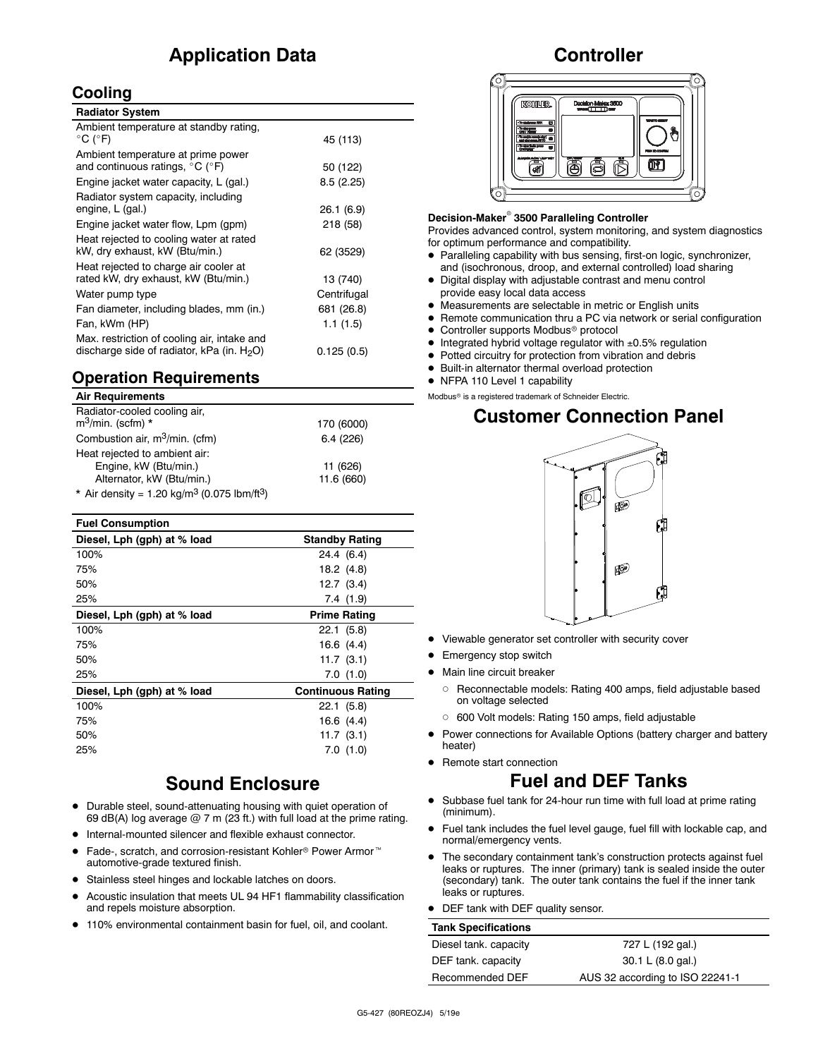#### **Application Data**

#### **Cooling**

| <b>Radiator System</b>                                                                       |             |
|----------------------------------------------------------------------------------------------|-------------|
| Ambient temperature at standby rating,<br>$^{\circ}$ C ( $^{\circ}$ F)                       | 45 (113)    |
| Ambient temperature at prime power<br>and continuous ratings, $^{\circ}$ C ( $^{\circ}$ F)   | 50 (122)    |
| Engine jacket water capacity, L (gal.)                                                       | 8.5(2.25)   |
| Radiator system capacity, including<br>engine, L (gal.)                                      | 26.1(6.9)   |
| Engine jacket water flow, Lpm (gpm)                                                          | 218 (58)    |
| Heat rejected to cooling water at rated<br>kW, dry exhaust, kW (Btu/min.)                    | 62 (3529)   |
| Heat rejected to charge air cooler at<br>rated kW, dry exhaust, kW (Btu/min.)                | 13 (740)    |
| Water pump type                                                                              | Centrifugal |
| Fan diameter, including blades, mm (in.)                                                     | 681 (26.8)  |
| Fan, kWm (HP)                                                                                | 1.1(1.5)    |
| Max. restriction of cooling air, intake and<br>discharge side of radiator, kPa (in. $H_2O$ ) | 0.125(0.5)  |

#### **Operation Requirements**

#### **Air Requirements**

| Radiator-cooled cooling air,<br>$m^3$ /min. (scfm) *                | 170 (6000) |
|---------------------------------------------------------------------|------------|
|                                                                     |            |
| Combustion air, m <sup>3</sup> /min. (cfm)                          | 6.4(226)   |
| Heat rejected to ambient air:                                       |            |
| Engine, kW (Btu/min.)                                               | 11 (626)   |
| Alternator, kW (Btu/min.)                                           | 11.6 (660) |
| * Air density = 1.20 kg/m <sup>3</sup> (0.075 lbm/ft <sup>3</sup> ) |            |

| <b>Fuel Consumption</b>     |                          |
|-----------------------------|--------------------------|
| Diesel, Lph (gph) at % load | <b>Standby Rating</b>    |
| 100%                        | 24.4 (6.4)               |
| 75%                         | 18.2 (4.8)               |
| 50%                         | $12.7$ $(3.4)$           |
| 25%                         | 7.4(1.9)                 |
| Diesel, Lph (gph) at % load | <b>Prime Rating</b>      |
| 100%                        | 22.1(5.8)                |
| 75%                         | 16.6(4.4)                |
| 50%                         | 11.7(3.1)                |
| 25%                         | 7.0(1.0)                 |
| Diesel, Lph (gph) at % load | <b>Continuous Rating</b> |
| 100%                        | 22.1(5.8)                |
| 75%                         | 16.6(4.4)                |
| 50%                         | 11.7(3.1)                |
| 25%                         | 7.0(1.0)                 |
|                             |                          |

#### **Sound Enclosure**

- $\bullet$  Durable steel, sound-attenuating housing with quiet operation of 69 dB(A) log average  $@$  7 m (23 ft.) with full load at the prime rating.
- $\bullet$  Internal-mounted silencer and flexible exhaust connector.
- Fade-, scratch, and corrosion-resistant Kohler<sup>®</sup> Power Armor<sup>™</sup> automotive-grade textured finish.
- Stainless steel hinges and lockable latches on doors.
- Acoustic insulation that meets UL 94 HF1 flammability classification and repels moisture absorption.
- 110% environmental containment basin for fuel, oil, and coolant.

#### **Controller**



#### **Decision-Maker<sup>®</sup> 3500 Paralleling Controller**

Provides advanced control, system monitoring, and system diagnostics for optimum performance and compatibility.

- D Paralleling capability with bus sensing, first-on logic, synchronizer, and (isochronous, droop, and external controlled) load sharing
- $\bullet$  Digital display with adjustable contrast and menu control provide easy local data access
- $\bullet$  Measurements are selectable in metric or English units
- Remote communication thru a PC via network or serial configuration
- $\bullet$  Controller supports Modbus® protocol
- $\bullet$  Integrated hybrid voltage regulator with  $\pm 0.5\%$  regulation
- $\bullet$  Potted circuitry for protection from vibration and debris
- $\bullet$  Built-in alternator thermal overload protection
- NFPA 110 Level 1 capability

Modbus<sup>®</sup> is a registered trademark of Schneider Electric.

#### **Customer Connection Panel**



- Viewable generator set controller with security cover
- **•** Emergency stop switch
- $\bullet$  Main line circuit breaker
	- o Reconnectable models: Rating 400 amps, field adjustable based on voltage selected
	- o 600 Volt models: Rating 150 amps, field adjustable
- Power connections for Available Options (battery charger and battery heater)
- Remote start connection

#### **Fuel and DEF Tanks**

- Subbase fuel tank for 24-hour run time with full load at prime rating (minimum).
- Fuel tank includes the fuel level gauge, fuel fill with lockable cap, and normal/emergency vents.
- The secondary containment tank's construction protects against fuel leaks or ruptures. The inner (primary) tank is sealed inside the outer (secondary) tank. The outer tank contains the fuel if the inner tank leaks or ruptures.
- DEF tank with DEF quality sensor.

| <b>Tank Specifications</b> |                                 |
|----------------------------|---------------------------------|
| Diesel tank. capacity      | 727 L (192 gal.)                |
| DEF tank. capacity         | 30.1 L (8.0 gal.)               |
| Recommended DEF            | AUS 32 according to ISO 22241-1 |
|                            |                                 |